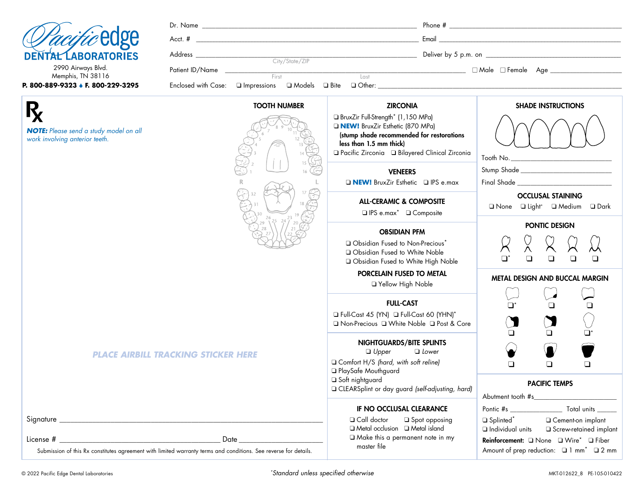| <i>Clacific</i> edge |  |
|----------------------|--|
| DENTAL LABORATORIES  |  |

|                                         |                                                                                            | <b>TOOTH NUMBER</b> |                |      | <b>ZIRCONIA</b> | <b>SHADE INSTRUCTIONS</b> |
|-----------------------------------------|--------------------------------------------------------------------------------------------|---------------------|----------------|------|-----------------|---------------------------|
| P. 800-889-9323 ↓ F. 800-229-3295       | Enclosed with Case: $\square$ Impressions $\square$ Models $\square$ Bite $\square$ Other: |                     |                |      |                 |                           |
| 2990 Airways Blvd.<br>Memphis, TN 38116 | Patient ID/Name                                                                            | First               |                | Last |                 |                           |
|                                         | Address                                                                                    |                     | City/State/ZIP |      |                 |                           |
| <i>Chacific</i> edge                    | Acct. #                                                                                    |                     |                |      | Email           |                           |
|                                         | Dr. Name                                                                                   |                     |                |      | Phone #         |                           |

*NOTE: Please send a study model on all work involving anterior teeth.*

R,

| <b>TOOTH NUMBER</b>                                                                |          |                                                                  |
|------------------------------------------------------------------------------------|----------|------------------------------------------------------------------|
| study model on all<br>11<br>teeth.<br>12                                           | 13<br>14 | $\Box$ BruxZi<br><b>DINEW</b><br>(stump<br>less the<br>□ Pacific |
|                                                                                    | 15<br>16 | $\Box$ N                                                         |
| 32<br>31<br>30<br>$\frac{26}{125}$ $\frac{24}{12}$ $\frac{23}{21}$ $\frac{19}{20}$ | 17<br>18 |                                                                  |
| $\overline{20}$<br>29<br>28<br>$2^{r}$<br>27                                       |          | $\Box$ $\bigcirc$<br>$\Box$ $\Box$<br>$\Box$                     |
|                                                                                    |          | <b>D</b> Full-Co<br>□ Non-P                                      |
| <b>PLACE AIRBILL TRACKING STICKER HERE</b>                                         |          | O Comfo<br>$\Box$ PlaySa<br>□ Soft nig<br>$\Box$ CLEAR:          |

ir Full-Strength\* (1,150 MPa) **BruxZir Esthetic (870 MPa)** shade recommended for restorations lan 1.5 mm thick) ❑ Pacific Zirconia ❑ Bilayered Clinical Zirconia

**VENEERS** ❑ **NEW!** BruxZir Esthetic ❑ IPS e.max

> ALL-CERAMIC & COMPOSITE ❑ IPS e.max\* ❑ Composite

#### OBSIDIAN PFM

bsidian Fused to Non-Precious<sup>\*</sup> bsidian Fused to White Noble bsidian Fused to White High Noble

## PORCELAIN FUSED TO METAL

❑ Yellow High Noble

#### FULL-CAST

 $_{\text{ast}}$  45 (YN)  $\Box$  Full-Cast 60 (YHN)\* ❑ Non-Precious ❑ White Noble ❑ Post & Core

#### NIGHTGUARDS/BITE SPLINTS ❑ *Upper* ❑ *Lower*

❑ Comfort H/S *(hard, with soft reline)* afe Mouthguard ghtguard Splint or day guard *(self-adjusting, hard)* 

#### IF NO OCCLUSAL CLEARANCE

❑ Call doctor ❑ Spot opposing ❑ Metal occlusion ❑ Metal island ❑ Make this a permanent note in my master file



#### PACIFIC TEMPS

| Abutment tooth #s                                              |                          |  |  |  |
|----------------------------------------------------------------|--------------------------|--|--|--|
| Pontic #s                                                      | Total units              |  |  |  |
| Splinted*                                                      | □ Cement-on implant      |  |  |  |
| $\Box$ Individual units                                        | □ Screw-retained implant |  |  |  |
| <b>Reinforcement:</b> □ None □ Wire <sup>*</sup> □ Fiber       |                          |  |  |  |
| Amount of prep reduction: $\Box$ 1 mm <sup>*</sup> $\Box$ 2 mm |                          |  |  |  |

Signature \_\_\_\_\_\_\_\_\_\_\_\_\_\_\_\_\_\_\_\_\_\_\_\_\_\_\_\_\_\_\_\_\_\_\_\_\_\_\_\_\_\_\_\_\_\_\_\_\_\_\_\_\_\_\_\_\_\_\_\_\_\_\_\_\_\_\_\_\_\_\_\_

License # \_\_\_\_\_\_\_\_\_\_\_\_\_\_\_\_\_\_\_\_\_\_\_\_\_\_\_\_\_\_\_\_\_\_\_\_\_\_\_\_\_\_\_\_ Date \_\_\_\_\_\_\_\_\_\_\_\_\_\_\_\_\_\_\_\_\_\_\_ Submission of this Rx constitutes agreement with limited warranty terms and conditions. See reverse for details.